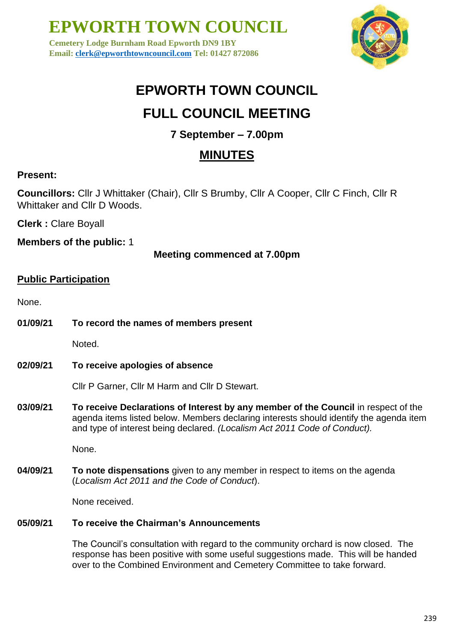**Cemetery Lodge Burnham Road Epworth DN9 1BY Email: [clerk@epworthtowncouncil.com](mailto:clerk@epworthtowncouncil.com) Tel: 01427 872086**



## **EPWORTH TOWN COUNCIL**

## **FULL COUNCIL MEETING**

### **7 September – 7.00pm**

### **MINUTES**

### **Present:**

**Councillors:** Cllr J Whittaker (Chair), Cllr S Brumby, Cllr A Cooper, Cllr C Finch, Cllr R Whittaker and Cllr D Woods.

**Clerk :** Clare Boyall

**Members of the public:** 1

**Meeting commenced at 7.00pm**

### **Public Participation**

None.

**01/09/21 To record the names of members present**

Noted.

**02/09/21 To receive apologies of absence**

Cllr P Garner, Cllr M Harm and Cllr D Stewart.

**03/09/21 To receive Declarations of Interest by any member of the Council** in respect of the agenda items listed below. Members declaring interests should identify the agenda item and type of interest being declared. *(Localism Act 2011 Code of Conduct).*

None.

**04/09/21 To note dispensations** given to any member in respect to items on the agenda (*Localism Act 2011 and the Code of Conduct*).

None received.

#### **05/09/21 To receive the Chairman's Announcements**

The Council's consultation with regard to the community orchard is now closed. The response has been positive with some useful suggestions made. This will be handed over to the Combined Environment and Cemetery Committee to take forward.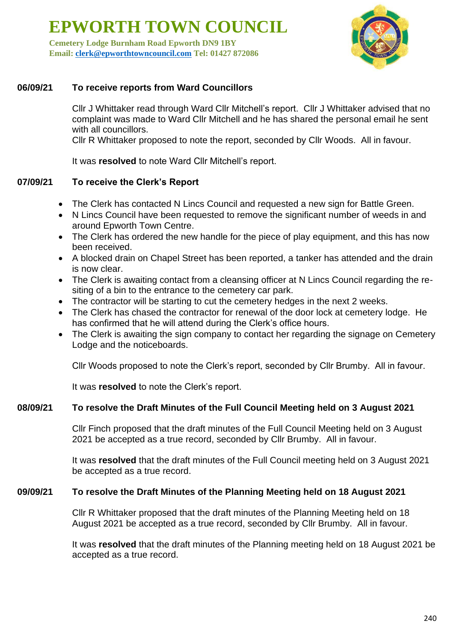**Cemetery Lodge Burnham Road Epworth DN9 1BY Email: [clerk@epworthtowncouncil.com](mailto:clerk@epworthtowncouncil.com) Tel: 01427 872086**



#### **06/09/21 To receive reports from Ward Councillors**

Cllr J Whittaker read through Ward Cllr Mitchell's report. Cllr J Whittaker advised that no complaint was made to Ward Cllr Mitchell and he has shared the personal email he sent with all councillors.

Cllr R Whittaker proposed to note the report, seconded by Cllr Woods. All in favour.

It was **resolved** to note Ward Cllr Mitchell's report.

#### **07/09/21 To receive the Clerk's Report**

- The Clerk has contacted N Lincs Council and requested a new sign for Battle Green.
- N Lincs Council have been requested to remove the significant number of weeds in and around Epworth Town Centre.
- The Clerk has ordered the new handle for the piece of play equipment, and this has now been received.
- A blocked drain on Chapel Street has been reported, a tanker has attended and the drain is now clear.
- The Clerk is awaiting contact from a cleansing officer at N Lincs Council regarding the resiting of a bin to the entrance to the cemetery car park.
- The contractor will be starting to cut the cemetery hedges in the next 2 weeks.
- The Clerk has chased the contractor for renewal of the door lock at cemetery lodge. He has confirmed that he will attend during the Clerk's office hours.
- The Clerk is awaiting the sign company to contact her regarding the signage on Cemetery Lodge and the noticeboards.

Cllr Woods proposed to note the Clerk's report, seconded by Cllr Brumby. All in favour.

It was **resolved** to note the Clerk's report.

#### **08/09/21 To resolve the Draft Minutes of the Full Council Meeting held on 3 August 2021**

Cllr Finch proposed that the draft minutes of the Full Council Meeting held on 3 August 2021 be accepted as a true record, seconded by Cllr Brumby. All in favour.

It was **resolved** that the draft minutes of the Full Council meeting held on 3 August 2021 be accepted as a true record.

#### **09/09/21 To resolve the Draft Minutes of the Planning Meeting held on 18 August 2021**

Cllr R Whittaker proposed that the draft minutes of the Planning Meeting held on 18 August 2021 be accepted as a true record, seconded by Cllr Brumby. All in favour.

It was **resolved** that the draft minutes of the Planning meeting held on 18 August 2021 be accepted as a true record.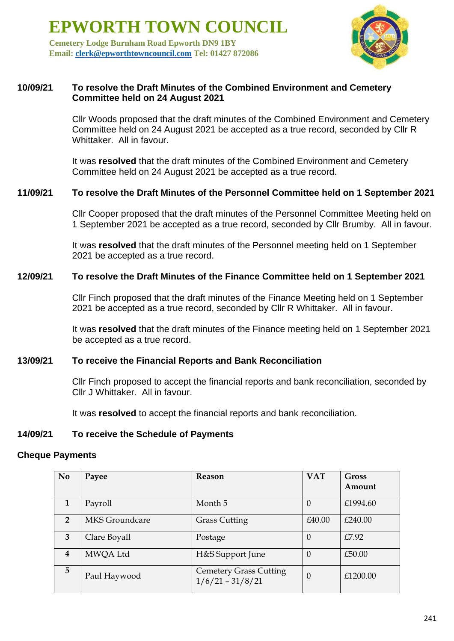**Cemetery Lodge Burnham Road Epworth DN9 1BY Email: [clerk@epworthtowncouncil.com](mailto:clerk@epworthtowncouncil.com) Tel: 01427 872086**



#### **10/09/21 To resolve the Draft Minutes of the Combined Environment and Cemetery Committee held on 24 August 2021**

Cllr Woods proposed that the draft minutes of the Combined Environment and Cemetery Committee held on 24 August 2021 be accepted as a true record, seconded by Cllr R Whittaker. All in favour.

It was **resolved** that the draft minutes of the Combined Environment and Cemetery Committee held on 24 August 2021 be accepted as a true record.

#### **11/09/21 To resolve the Draft Minutes of the Personnel Committee held on 1 September 2021**

Cllr Cooper proposed that the draft minutes of the Personnel Committee Meeting held on 1 September 2021 be accepted as a true record, seconded by Cllr Brumby. All in favour.

It was **resolved** that the draft minutes of the Personnel meeting held on 1 September 2021 be accepted as a true record.

#### **12/09/21 To resolve the Draft Minutes of the Finance Committee held on 1 September 2021**

Cllr Finch proposed that the draft minutes of the Finance Meeting held on 1 September 2021 be accepted as a true record, seconded by Cllr R Whittaker. All in favour.

It was **resolved** that the draft minutes of the Finance meeting held on 1 September 2021 be accepted as a true record.

#### **13/09/21 To receive the Financial Reports and Bank Reconciliation**

Cllr Finch proposed to accept the financial reports and bank reconciliation, seconded by Cllr J Whittaker. All in favour.

It was **resolved** to accept the financial reports and bank reconciliation.

#### **14/09/21 To receive the Schedule of Payments**

#### **Cheque Payments**

| N <sub>0</sub> | Payee          | Reason                                              | <b>VAT</b>     | <b>Gross</b> |
|----------------|----------------|-----------------------------------------------------|----------------|--------------|
|                |                |                                                     |                | Amount       |
| $\mathbf{1}$   | Payroll        | Month 5                                             | $\Omega$       | £1994.60     |
| $\mathcal{P}$  | MKS Groundcare | <b>Grass Cutting</b>                                | £40.00         | £240.00      |
| 3              | Clare Boyall   | Postage                                             | $\Omega$       | £7.92        |
| 4              | MWQA Ltd       | H&S Support June                                    | $\overline{0}$ | £50.00       |
| 5              | Paul Haywood   | <b>Cemetery Grass Cutting</b><br>$1/6/21 - 31/8/21$ | $\Omega$       | £1200.00     |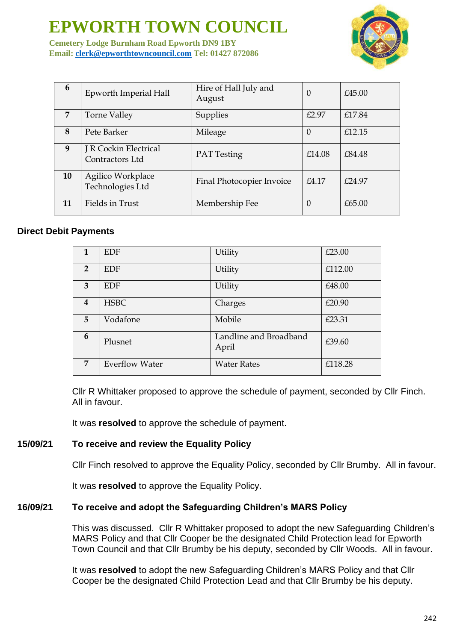**Cemetery Lodge Burnham Road Epworth DN9 1BY Email: [clerk@epworthtowncouncil.com](mailto:clerk@epworthtowncouncil.com) Tel: 01427 872086**



| 6  | Epworth Imperial Hall                    | Hire of Hall July and<br>August | 0        | £45.00    |
|----|------------------------------------------|---------------------------------|----------|-----------|
| 7  | Torne Valley                             | Supplies                        | £2.97    | £17.84    |
| 8  | Pete Barker                              | Mileage                         | 0        | £12.15    |
| 9  | J R Cockin Electrical<br>Contractors Ltd | <b>PAT</b> Testing              | £14.08   | £84.48    |
| 10 | Agilico Workplace<br>Technologies Ltd    | Final Photocopier Invoice       | £4.17    | $f$ 24.97 |
| 11 | Fields in Trust                          | Membership Fee                  | $\theta$ | £65.00    |

#### **Direct Debit Payments**

| 1                       | <b>EDF</b>            | Utility                         | £23.00  |
|-------------------------|-----------------------|---------------------------------|---------|
| $\overline{2}$          | <b>EDF</b>            | Utility                         | £112.00 |
| 3                       | <b>EDF</b>            | Utility                         | £48.00  |
| $\overline{\mathbf{4}}$ | <b>HSBC</b>           | Charges                         | £20.90  |
| 5                       | Vodafone              | Mobile                          | £23.31  |
| 6                       | Plusnet               | Landline and Broadband<br>April | £39.60  |
| $\overline{7}$          | <b>Everflow Water</b> | <b>Water Rates</b>              | £118.28 |

Cllr R Whittaker proposed to approve the schedule of payment, seconded by Cllr Finch. All in favour.

It was **resolved** to approve the schedule of payment.

#### **15/09/21 To receive and review the Equality Policy**

Cllr Finch resolved to approve the Equality Policy, seconded by Cllr Brumby. All in favour.

It was **resolved** to approve the Equality Policy.

#### **16/09/21 To receive and adopt the Safeguarding Children's MARS Policy**

This was discussed. Cllr R Whittaker proposed to adopt the new Safeguarding Children's MARS Policy and that Cllr Cooper be the designated Child Protection lead for Epworth Town Council and that Cllr Brumby be his deputy, seconded by Cllr Woods. All in favour.

It was **resolved** to adopt the new Safeguarding Children's MARS Policy and that Cllr Cooper be the designated Child Protection Lead and that Cllr Brumby be his deputy.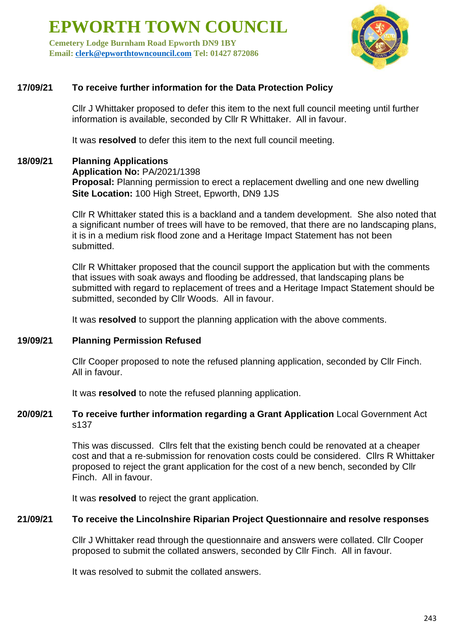**Cemetery Lodge Burnham Road Epworth DN9 1BY Email: [clerk@epworthtowncouncil.com](mailto:clerk@epworthtowncouncil.com) Tel: 01427 872086**



#### **17/09/21 To receive further information for the Data Protection Policy**

Cllr J Whittaker proposed to defer this item to the next full council meeting until further information is available, seconded by Cllr R Whittaker. All in favour.

It was **resolved** to defer this item to the next full council meeting.

### **18/09/21 Planning Applications**

**Application No:** PA/2021/1398

**Proposal:** Planning permission to erect a replacement dwelling and one new dwelling **Site Location:** 100 High Street, Epworth, DN9 1JS

Cllr R Whittaker stated this is a backland and a tandem development. She also noted that a significant number of trees will have to be removed, that there are no landscaping plans, it is in a medium risk flood zone and a Heritage Impact Statement has not been submitted.

Cllr R Whittaker proposed that the council support the application but with the comments that issues with soak aways and flooding be addressed, that landscaping plans be submitted with regard to replacement of trees and a Heritage Impact Statement should be submitted, seconded by Cllr Woods. All in favour.

It was **resolved** to support the planning application with the above comments.

#### **19/09/21 Planning Permission Refused**

Cllr Cooper proposed to note the refused planning application, seconded by Cllr Finch. All in favour.

It was **resolved** to note the refused planning application.

#### **20/09/21 To receive further information regarding a Grant Application** Local Government Act s137

This was discussed. Cllrs felt that the existing bench could be renovated at a cheaper cost and that a re-submission for renovation costs could be considered. Cllrs R Whittaker proposed to reject the grant application for the cost of a new bench, seconded by Cllr Finch. All in favour.

It was **resolved** to reject the grant application.

#### **21/09/21 To receive the Lincolnshire Riparian Project Questionnaire and resolve responses**

Cllr J Whittaker read through the questionnaire and answers were collated. Cllr Cooper proposed to submit the collated answers, seconded by Cllr Finch. All in favour.

It was resolved to submit the collated answers.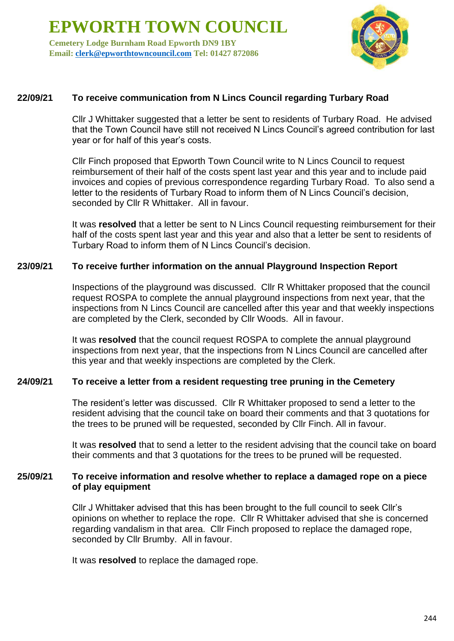**Cemetery Lodge Burnham Road Epworth DN9 1BY Email: [clerk@epworthtowncouncil.com](mailto:clerk@epworthtowncouncil.com) Tel: 01427 872086**



#### **22/09/21 To receive communication from N Lincs Council regarding Turbary Road**

Cllr J Whittaker suggested that a letter be sent to residents of Turbary Road. He advised that the Town Council have still not received N Lincs Council's agreed contribution for last year or for half of this year's costs.

Cllr Finch proposed that Epworth Town Council write to N Lincs Council to request reimbursement of their half of the costs spent last year and this year and to include paid invoices and copies of previous correspondence regarding Turbary Road. To also send a letter to the residents of Turbary Road to inform them of N Lincs Council's decision, seconded by Cllr R Whittaker. All in favour.

It was **resolved** that a letter be sent to N Lincs Council requesting reimbursement for their half of the costs spent last year and this year and also that a letter be sent to residents of Turbary Road to inform them of N Lincs Council's decision.

#### **23/09/21 To receive further information on the annual Playground Inspection Report**

Inspections of the playground was discussed. Cllr R Whittaker proposed that the council request ROSPA to complete the annual playground inspections from next year, that the inspections from N Lincs Council are cancelled after this year and that weekly inspections are completed by the Clerk, seconded by Cllr Woods. All in favour.

It was **resolved** that the council request ROSPA to complete the annual playground inspections from next year, that the inspections from N Lincs Council are cancelled after this year and that weekly inspections are completed by the Clerk.

#### **24/09/21 To receive a letter from a resident requesting tree pruning in the Cemetery**

The resident's letter was discussed. Cllr R Whittaker proposed to send a letter to the resident advising that the council take on board their comments and that 3 quotations for the trees to be pruned will be requested, seconded by Cllr Finch. All in favour.

It was **resolved** that to send a letter to the resident advising that the council take on board their comments and that 3 quotations for the trees to be pruned will be requested.

#### **25/09/21 To receive information and resolve whether to replace a damaged rope on a piece of play equipment**

Cllr J Whittaker advised that this has been brought to the full council to seek Cllr's opinions on whether to replace the rope. Cllr R Whittaker advised that she is concerned regarding vandalism in that area. Cllr Finch proposed to replace the damaged rope, seconded by Cllr Brumby. All in favour.

It was **resolved** to replace the damaged rope.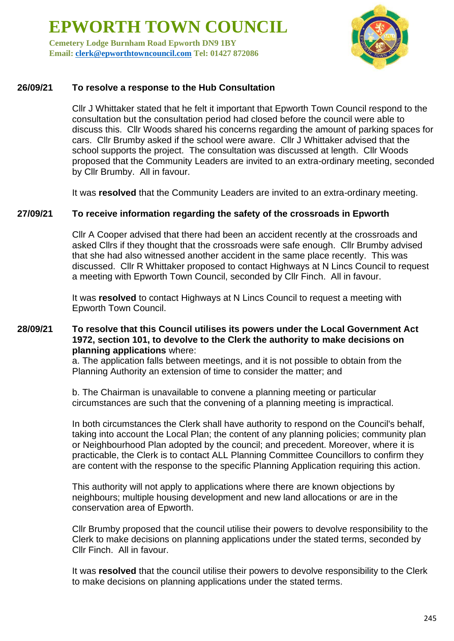**Cemetery Lodge Burnham Road Epworth DN9 1BY Email: [clerk@epworthtowncouncil.com](mailto:clerk@epworthtowncouncil.com) Tel: 01427 872086**



#### **26/09/21 To resolve a response to the Hub Consultation**

Cllr J Whittaker stated that he felt it important that Epworth Town Council respond to the consultation but the consultation period had closed before the council were able to discuss this. Cllr Woods shared his concerns regarding the amount of parking spaces for cars. Cllr Brumby asked if the school were aware. Cllr J Whittaker advised that the school supports the project. The consultation was discussed at length. Cllr Woods proposed that the Community Leaders are invited to an extra-ordinary meeting, seconded by Cllr Brumby. All in favour.

It was **resolved** that the Community Leaders are invited to an extra-ordinary meeting.

#### **27/09/21 To receive information regarding the safety of the crossroads in Epworth**

Cllr A Cooper advised that there had been an accident recently at the crossroads and asked Cllrs if they thought that the crossroads were safe enough. Cllr Brumby advised that she had also witnessed another accident in the same place recently. This was discussed. Cllr R Whittaker proposed to contact Highways at N Lincs Council to request a meeting with Epworth Town Council, seconded by Cllr Finch. All in favour.

It was **resolved** to contact Highways at N Lincs Council to request a meeting with Epworth Town Council.

#### **28/09/21 To resolve that this Council utilises its powers under the Local Government Act 1972, section 101, to devolve to the Clerk the authority to make decisions on planning applications** where:

a. The application falls between meetings, and it is not possible to obtain from the Planning Authority an extension of time to consider the matter; and

b. The Chairman is unavailable to convene a planning meeting or particular circumstances are such that the convening of a planning meeting is impractical.

In both circumstances the Clerk shall have authority to respond on the Council's behalf, taking into account the Local Plan; the content of any planning policies; community plan or Neighbourhood Plan adopted by the council; and precedent. Moreover, where it is practicable, the Clerk is to contact ALL Planning Committee Councillors to confirm they are content with the response to the specific Planning Application requiring this action.

This authority will not apply to applications where there are known objections by neighbours; multiple housing development and new land allocations or are in the conservation area of Epworth.

Cllr Brumby proposed that the council utilise their powers to devolve responsibility to the Clerk to make decisions on planning applications under the stated terms, seconded by Cllr Finch. All in favour.

It was **resolved** that the council utilise their powers to devolve responsibility to the Clerk to make decisions on planning applications under the stated terms.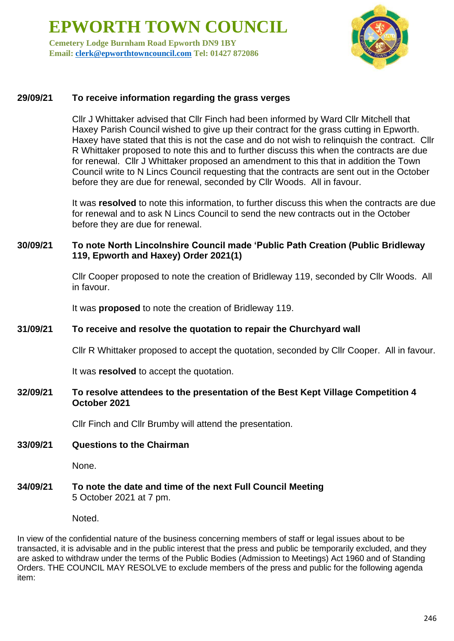**Cemetery Lodge Burnham Road Epworth DN9 1BY Email: [clerk@epworthtowncouncil.com](mailto:clerk@epworthtowncouncil.com) Tel: 01427 872086**



#### **29/09/21 To receive information regarding the grass verges**

Cllr J Whittaker advised that Cllr Finch had been informed by Ward Cllr Mitchell that Haxey Parish Council wished to give up their contract for the grass cutting in Epworth. Haxey have stated that this is not the case and do not wish to relinquish the contract. Cllr R Whittaker proposed to note this and to further discuss this when the contracts are due for renewal. Cllr J Whittaker proposed an amendment to this that in addition the Town Council write to N Lincs Council requesting that the contracts are sent out in the October before they are due for renewal, seconded by Cllr Woods. All in favour.

It was **resolved** to note this information, to further discuss this when the contracts are due for renewal and to ask N Lincs Council to send the new contracts out in the October before they are due for renewal.

#### **30/09/21 To note North Lincolnshire Council made 'Public Path Creation (Public Bridleway 119, Epworth and Haxey) Order 2021(1)**

Cllr Cooper proposed to note the creation of Bridleway 119, seconded by Cllr Woods. All in favour.

It was **proposed** to note the creation of Bridleway 119.

#### **31/09/21 To receive and resolve the quotation to repair the Churchyard wall**

Cllr R Whittaker proposed to accept the quotation, seconded by Cllr Cooper. All in favour.

It was **resolved** to accept the quotation.

#### **32/09/21 To resolve attendees to the presentation of the Best Kept Village Competition 4 October 2021**

Cllr Finch and Cllr Brumby will attend the presentation.

#### **33/09/21 Questions to the Chairman**

None.

#### **34/09/21 To note the date and time of the next Full Council Meeting** 5 October 2021 at 7 pm.

Noted.

In view of the confidential nature of the business concerning members of staff or legal issues about to be transacted, it is advisable and in the public interest that the press and public be temporarily excluded, and they are asked to withdraw under the terms of the Public Bodies (Admission to Meetings) Act 1960 and of Standing Orders. THE COUNCIL MAY RESOLVE to exclude members of the press and public for the following agenda item: